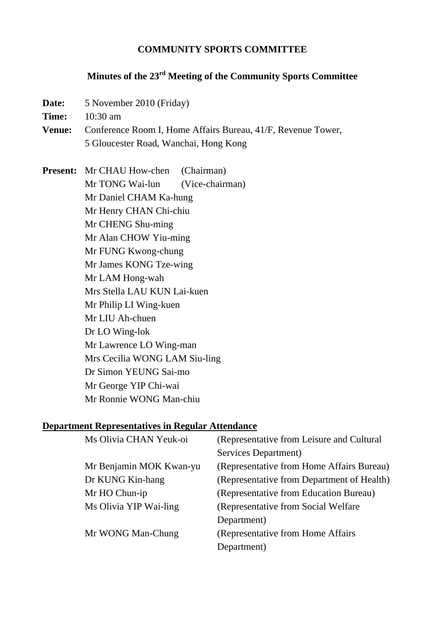#### **COMMUNITY SPORTS COMMITTEE**

# **Minutes of the 23rd Meeting of the Community Sports Committee**

- **Date:** 5 November 2010 (Friday)
- **Time:** 10:30 am
- **Venue:** Conference Room I, Home Affairs Bureau, 41/F, Revenue Tower, 5 Gloucester Road, Wanchai, Hong Kong

**Present:** Mr CHAU How-chen (Chairman) Mr TONG Wai-lun (Vice-chairman) Mr Daniel CHAM Ka-hung Mr Henry CHAN Chi-chiu Mr CHENG Shu-ming Mr Alan CHOW Yiu-ming Mr FUNG Kwong-chung Mr James KONG Tze-wing Mr LAM Hong-wah Mrs Stella LAU KUN Lai-kuen Mr Philip LI Wing-kuen Mr LIU Ah-chuen Dr LO Wing-lok Mr Lawrence LO Wing-man Mrs Cecilia WONG LAM Siu-ling Dr Simon YEUNG Sai-mo Mr George YIP Chi-wai Mr Ronnie WONG Man-chiu

#### **Department Representatives in Regular Attendance**

| Ms Olivia CHAN Yeuk-oi  | (Representative from Leisure and Cultural  |
|-------------------------|--------------------------------------------|
|                         | Services Department)                       |
| Mr Benjamin MOK Kwan-yu | (Representative from Home Affairs Bureau)  |
| Dr KUNG Kin-hang        | (Representative from Department of Health) |
| Mr HO Chun-ip           | (Representative from Education Bureau)     |
| Ms Olivia YIP Wai-ling  | (Representative from Social Welfare)       |
|                         | Department)                                |
| Mr WONG Man-Chung       | (Representative from Home Affairs)         |
|                         | Department)                                |
|                         |                                            |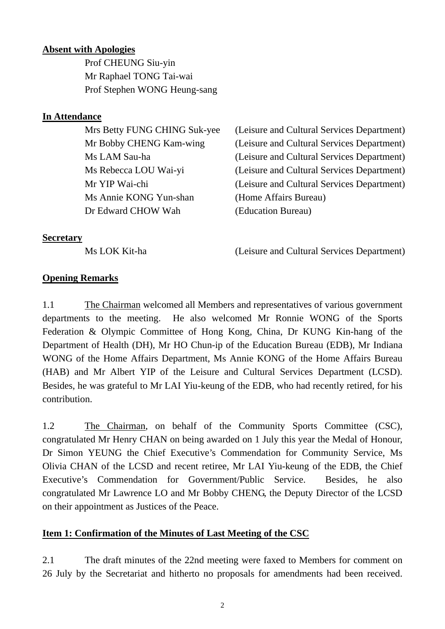### **Absent with Apologies**

 Prof CHEUNG Siu-yin Mr Raphael TONG Tai-wai Prof Stephen WONG Heung-sang

### **In Attendance**

 Ms Annie KONG Yun-shan (Home Affairs Bureau) Dr Edward CHOW Wah (Education Bureau)

 Mrs Betty FUNG CHING Suk-yee (Leisure and Cultural Services Department) Mr Bobby CHENG Kam-wing (Leisure and Cultural Services Department) Ms LAM Sau-ha (Leisure and Cultural Services Department) Ms Rebecca LOU Wai-yi (Leisure and Cultural Services Department) Mr YIP Wai-chi (Leisure and Cultural Services Department)

### **Secretary**

Ms LOK Kit-ha (Leisure and Cultural Services Department)

## **Opening Remarks**

1.1 The Chairman welcomed all Members and representatives of various government departments to the meeting. He also welcomed Mr Ronnie WONG of the Sports Federation & Olympic Committee of Hong Kong, China, Dr KUNG Kin-hang of the Department of Health (DH), Mr HO Chun-ip of the Education Bureau (EDB), Mr Indiana WONG of the Home Affairs Department, Ms Annie KONG of the Home Affairs Bureau (HAB) and Mr Albert YIP of the Leisure and Cultural Services Department (LCSD). Besides, he was grateful to Mr LAI Yiu-keung of the EDB, who had recently retired, for his contribution.

1.2 The Chairman, on behalf of the Community Sports Committee (CSC), congratulated Mr Henry CHAN on being awarded on 1 July this year the Medal of Honour, Dr Simon YEUNG the Chief Executive's Commendation for Community Service, Ms Olivia CHAN of the LCSD and recent retiree, Mr LAI Yiu-keung of the EDB, the Chief Executive's Commendation for Government/Public Service. Besides, he also congratulated Mr Lawrence LO and Mr Bobby CHENG, the Deputy Director of the LCSD on their appointment as Justices of the Peace.

## **Item 1: Confirmation of the Minutes of Last Meeting of the CSC**

2.1 The draft minutes of the 22nd meeting were faxed to Members for comment on 26 July by the Secretariat and hitherto no proposals for amendments had been received.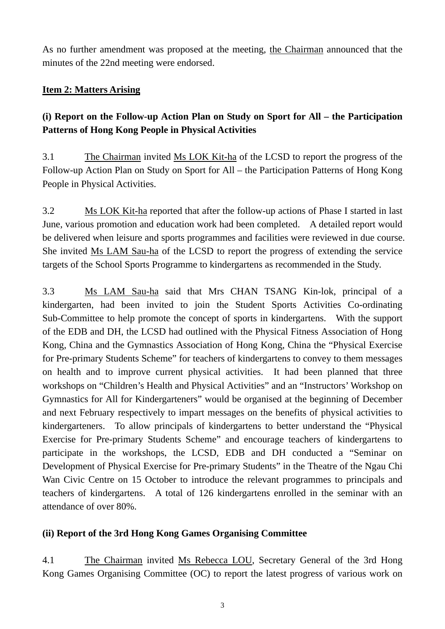As no further amendment was proposed at the meeting, the Chairman announced that the minutes of the 22nd meeting were endorsed.

## **Item 2: Matters Arising**

# **(i) Report on the Follow-up Action Plan on Study on Sport for All – the Participation Patterns of Hong Kong People in Physical Activities**

3.1 The Chairman invited Ms LOK Kit-ha of the LCSD to report the progress of the Follow-up Action Plan on Study on Sport for All – the Participation Patterns of Hong Kong People in Physical Activities.

3.2 Ms LOK Kit-ha reported that after the follow-up actions of Phase I started in last June, various promotion and education work had been completed. A detailed report would be delivered when leisure and sports programmes and facilities were reviewed in due course. She invited Ms LAM Sau-ha of the LCSD to report the progress of extending the service targets of the School Sports Programme to kindergartens as recommended in the Study.

3.3 Ms LAM Sau-ha said that Mrs CHAN TSANG Kin-lok, principal of a kindergarten, had been invited to join the Student Sports Activities Co-ordinating Sub-Committee to help promote the concept of sports in kindergartens. With the support of the EDB and DH, the LCSD had outlined with the Physical Fitness Association of Hong Kong, China and the Gymnastics Association of Hong Kong, China the "Physical Exercise for Pre-primary Students Scheme" for teachers of kindergartens to convey to them messages on health and to improve current physical activities. It had been planned that three workshops on "Children's Health and Physical Activities" and an "Instructors' Workshop on Gymnastics for All for Kindergarteners" would be organised at the beginning of December and next February respectively to impart messages on the benefits of physical activities to kindergarteners. To allow principals of kindergartens to better understand the "Physical Exercise for Pre-primary Students Scheme" and encourage teachers of kindergartens to participate in the workshops, the LCSD, EDB and DH conducted a "Seminar on Development of Physical Exercise for Pre-primary Students" in the Theatre of the Ngau Chi Wan Civic Centre on 15 October to introduce the relevant programmes to principals and teachers of kindergartens. A total of 126 kindergartens enrolled in the seminar with an attendance of over 80%.

## **(ii) Report of the 3rd Hong Kong Games Organising Committee**

4.1 The Chairman invited Ms Rebecca LOU, Secretary General of the 3rd Hong Kong Games Organising Committee (OC) to report the latest progress of various work on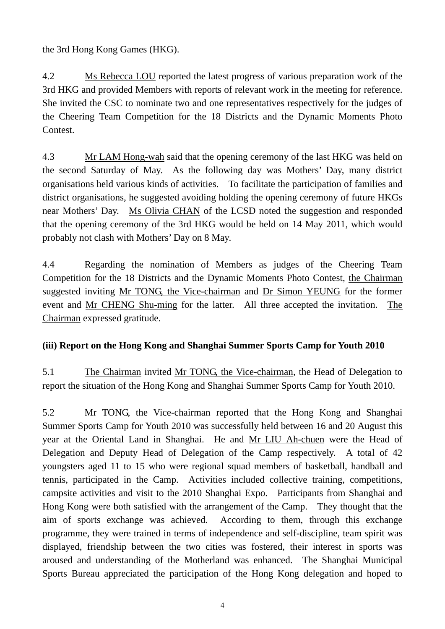the 3rd Hong Kong Games (HKG).

4.2 Ms Rebecca LOU reported the latest progress of various preparation work of the 3rd HKG and provided Members with reports of relevant work in the meeting for reference. She invited the CSC to nominate two and one representatives respectively for the judges of the Cheering Team Competition for the 18 Districts and the Dynamic Moments Photo Contest.

4.3 Mr LAM Hong-wah said that the opening ceremony of the last HKG was held on the second Saturday of May. As the following day was Mothers' Day, many district organisations held various kinds of activities. To facilitate the participation of families and district organisations, he suggested avoiding holding the opening ceremony of future HKGs near Mothers' Day. Ms Olivia CHAN of the LCSD noted the suggestion and responded that the opening ceremony of the 3rd HKG would be held on 14 May 2011, which would probably not clash with Mothers' Day on 8 May.

4.4 Regarding the nomination of Members as judges of the Cheering Team Competition for the 18 Districts and the Dynamic Moments Photo Contest, the Chairman suggested inviting Mr TONG, the Vice-chairman and Dr Simon YEUNG for the former event and Mr CHENG Shu-ming for the latter. All three accepted the invitation. The Chairman expressed gratitude.

# **(iii) Report on the Hong Kong and Shanghai Summer Sports Camp for Youth 2010**

5.1 The Chairman invited Mr TONG, the Vice-chairman, the Head of Delegation to report the situation of the Hong Kong and Shanghai Summer Sports Camp for Youth 2010.

5.2 Mr TONG, the Vice-chairman reported that the Hong Kong and Shanghai Summer Sports Camp for Youth 2010 was successfully held between 16 and 20 August this year at the Oriental Land in Shanghai. He and Mr LIU Ah-chuen were the Head of Delegation and Deputy Head of Delegation of the Camp respectively. A total of 42 youngsters aged 11 to 15 who were regional squad members of basketball, handball and tennis, participated in the Camp. Activities included collective training, competitions, campsite activities and visit to the 2010 Shanghai Expo. Participants from Shanghai and Hong Kong were both satisfied with the arrangement of the Camp. They thought that the aim of sports exchange was achieved. According to them, through this exchange programme, they were trained in terms of independence and self-discipline, team spirit was displayed, friendship between the two cities was fostered, their interest in sports was aroused and understanding of the Motherland was enhanced. The Shanghai Municipal Sports Bureau appreciated the participation of the Hong Kong delegation and hoped to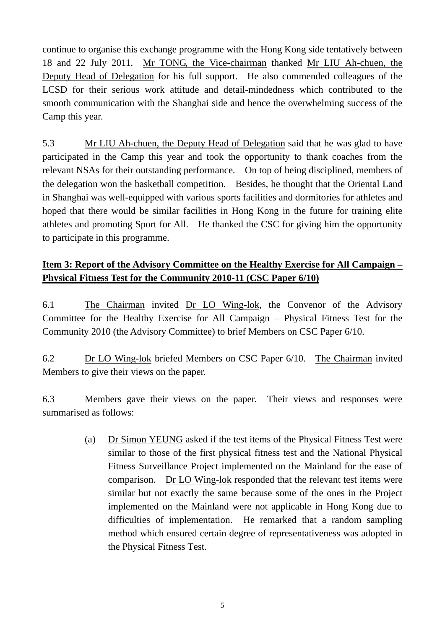continue to organise this exchange programme with the Hong Kong side tentatively between 18 and 22 July 2011. Mr TONG, the Vice-chairman thanked Mr LIU Ah-chuen, the Deputy Head of Delegation for his full support. He also commended colleagues of the LCSD for their serious work attitude and detail-mindedness which contributed to the smooth communication with the Shanghai side and hence the overwhelming success of the Camp this year.

5.3 Mr LIU Ah-chuen, the Deputy Head of Delegation said that he was glad to have participated in the Camp this year and took the opportunity to thank coaches from the relevant NSAs for their outstanding performance. On top of being disciplined, members of the delegation won the basketball competition. Besides, he thought that the Oriental Land in Shanghai was well-equipped with various sports facilities and dormitories for athletes and hoped that there would be similar facilities in Hong Kong in the future for training elite athletes and promoting Sport for All. He thanked the CSC for giving him the opportunity to participate in this programme.

# **Item 3: Report of the Advisory Committee on the Healthy Exercise for All Campaign – Physical Fitness Test for the Community 2010-11 (CSC Paper 6/10)**

6.1 The Chairman invited Dr LO Wing-lok, the Convenor of the Advisory Committee for the Healthy Exercise for All Campaign – Physical Fitness Test for the Community 2010 (the Advisory Committee) to brief Members on CSC Paper 6/10.

6.2 Dr LO Wing-lok briefed Members on CSC Paper 6/10. The Chairman invited Members to give their views on the paper.

6.3 Members gave their views on the paper. Their views and responses were summarised as follows:

> (a) Dr Simon YEUNG asked if the test items of the Physical Fitness Test were similar to those of the first physical fitness test and the National Physical Fitness Surveillance Project implemented on the Mainland for the ease of comparison. Dr LO Wing-lok responded that the relevant test items were similar but not exactly the same because some of the ones in the Project implemented on the Mainland were not applicable in Hong Kong due to difficulties of implementation. He remarked that a random sampling method which ensured certain degree of representativeness was adopted in the Physical Fitness Test.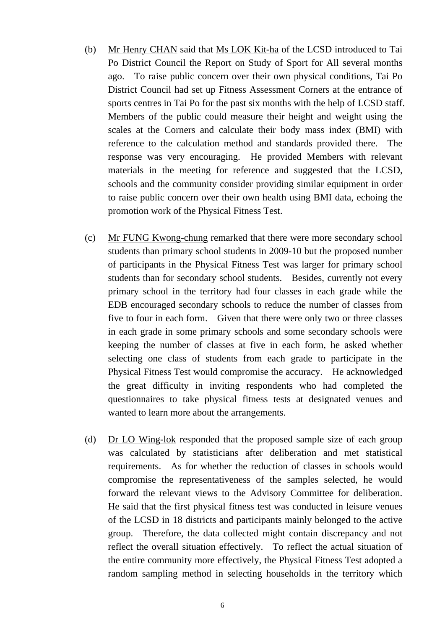- (b) Mr Henry CHAN said that Ms LOK Kit-ha of the LCSD introduced to Tai Po District Council the Report on Study of Sport for All several months ago. To raise public concern over their own physical conditions, Tai Po District Council had set up Fitness Assessment Corners at the entrance of sports centres in Tai Po for the past six months with the help of LCSD staff. Members of the public could measure their height and weight using the scales at the Corners and calculate their body mass index (BMI) with reference to the calculation method and standards provided there. The response was very encouraging. He provided Members with relevant materials in the meeting for reference and suggested that the LCSD, schools and the community consider providing similar equipment in order to raise public concern over their own health using BMI data, echoing the promotion work of the Physical Fitness Test.
- (c) Mr FUNG Kwong-chung remarked that there were more secondary school students than primary school students in 2009-10 but the proposed number of participants in the Physical Fitness Test was larger for primary school students than for secondary school students. Besides, currently not every primary school in the territory had four classes in each grade while the EDB encouraged secondary schools to reduce the number of classes from five to four in each form. Given that there were only two or three classes in each grade in some primary schools and some secondary schools were keeping the number of classes at five in each form, he asked whether selecting one class of students from each grade to participate in the Physical Fitness Test would compromise the accuracy. He acknowledged the great difficulty in inviting respondents who had completed the questionnaires to take physical fitness tests at designated venues and wanted to learn more about the arrangements.
- (d) Dr LO Wing-lok responded that the proposed sample size of each group was calculated by statisticians after deliberation and met statistical requirements. As for whether the reduction of classes in schools would compromise the representativeness of the samples selected, he would forward the relevant views to the Advisory Committee for deliberation. He said that the first physical fitness test was conducted in leisure venues of the LCSD in 18 districts and participants mainly belonged to the active group. Therefore, the data collected might contain discrepancy and not reflect the overall situation effectively. To reflect the actual situation of the entire community more effectively, the Physical Fitness Test adopted a random sampling method in selecting households in the territory which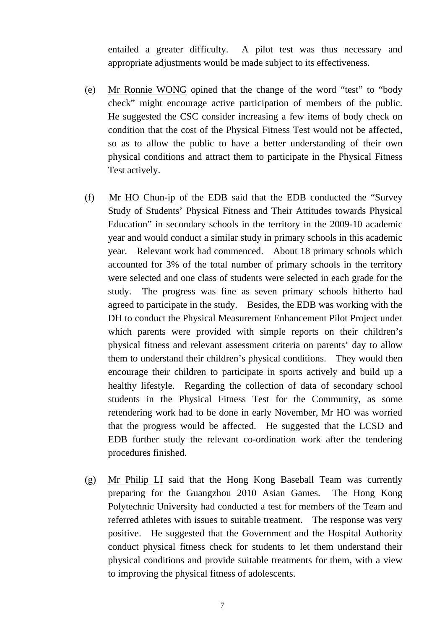entailed a greater difficulty. A pilot test was thus necessary and appropriate adjustments would be made subject to its effectiveness.

- (e) Mr Ronnie WONG opined that the change of the word "test" to "body check" might encourage active participation of members of the public. He suggested the CSC consider increasing a few items of body check on condition that the cost of the Physical Fitness Test would not be affected, so as to allow the public to have a better understanding of their own physical conditions and attract them to participate in the Physical Fitness Test actively.
- (f) Mr HO Chun-ip of the EDB said that the EDB conducted the "Survey Study of Students' Physical Fitness and Their Attitudes towards Physical Education" in secondary schools in the territory in the 2009-10 academic year and would conduct a similar study in primary schools in this academic year. Relevant work had commenced. About 18 primary schools which accounted for 3% of the total number of primary schools in the territory were selected and one class of students were selected in each grade for the study. The progress was fine as seven primary schools hitherto had agreed to participate in the study. Besides, the EDB was working with the DH to conduct the Physical Measurement Enhancement Pilot Project under which parents were provided with simple reports on their children's physical fitness and relevant assessment criteria on parents' day to allow them to understand their children's physical conditions. They would then encourage their children to participate in sports actively and build up a healthy lifestyle. Regarding the collection of data of secondary school students in the Physical Fitness Test for the Community, as some retendering work had to be done in early November, Mr HO was worried that the progress would be affected. He suggested that the LCSD and EDB further study the relevant co-ordination work after the tendering procedures finished.
- (g) Mr Philip LI said that the Hong Kong Baseball Team was currently preparing for the Guangzhou 2010 Asian Games. The Hong Kong Polytechnic University had conducted a test for members of the Team and referred athletes with issues to suitable treatment. The response was very positive. He suggested that the Government and the Hospital Authority conduct physical fitness check for students to let them understand their physical conditions and provide suitable treatments for them, with a view to improving the physical fitness of adolescents.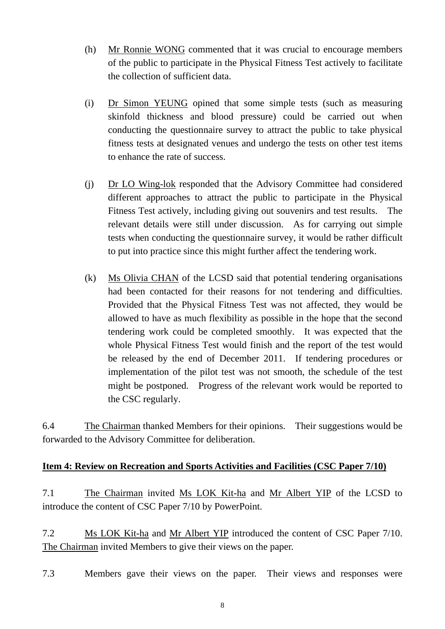- (h) Mr Ronnie WONG commented that it was crucial to encourage members of the public to participate in the Physical Fitness Test actively to facilitate the collection of sufficient data.
- (i) Dr Simon YEUNG opined that some simple tests (such as measuring skinfold thickness and blood pressure) could be carried out when conducting the questionnaire survey to attract the public to take physical fitness tests at designated venues and undergo the tests on other test items to enhance the rate of success.
- (j) Dr LO Wing-lok responded that the Advisory Committee had considered different approaches to attract the public to participate in the Physical Fitness Test actively, including giving out souvenirs and test results. The relevant details were still under discussion. As for carrying out simple tests when conducting the questionnaire survey, it would be rather difficult to put into practice since this might further affect the tendering work.
- (k) Ms Olivia CHAN of the LCSD said that potential tendering organisations had been contacted for their reasons for not tendering and difficulties. Provided that the Physical Fitness Test was not affected, they would be allowed to have as much flexibility as possible in the hope that the second tendering work could be completed smoothly. It was expected that the whole Physical Fitness Test would finish and the report of the test would be released by the end of December 2011. If tendering procedures or implementation of the pilot test was not smooth, the schedule of the test might be postponed. Progress of the relevant work would be reported to the CSC regularly.

6.4 The Chairman thanked Members for their opinions. Their suggestions would be forwarded to the Advisory Committee for deliberation.

### **Item 4: Review on Recreation and Sports Activities and Facilities (CSC Paper 7/10)**

7.1 The Chairman invited Ms LOK Kit-ha and Mr Albert YIP of the LCSD to introduce the content of CSC Paper 7/10 by PowerPoint.

7.2 Ms LOK Kit-ha and Mr Albert YIP introduced the content of CSC Paper 7/10. The Chairman invited Members to give their views on the paper.

7.3 Members gave their views on the paper. Their views and responses were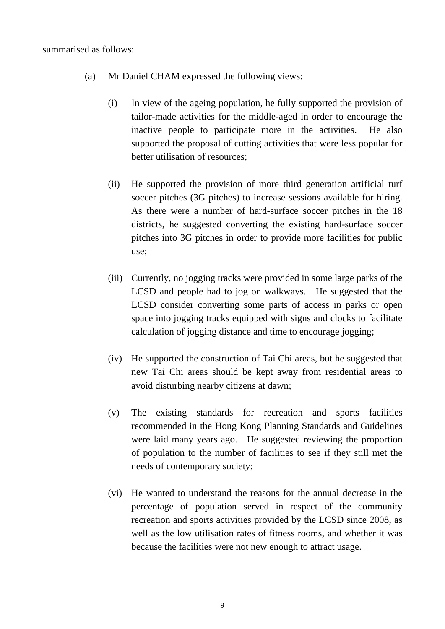- (a) Mr Daniel CHAM expressed the following views:
	- (i) In view of the ageing population, he fully supported the provision of tailor-made activities for the middle-aged in order to encourage the inactive people to participate more in the activities. He also supported the proposal of cutting activities that were less popular for better utilisation of resources;
	- (ii) He supported the provision of more third generation artificial turf soccer pitches (3G pitches) to increase sessions available for hiring. As there were a number of hard-surface soccer pitches in the 18 districts, he suggested converting the existing hard-surface soccer pitches into 3G pitches in order to provide more facilities for public use;
	- (iii) Currently, no jogging tracks were provided in some large parks of the LCSD and people had to jog on walkways. He suggested that the LCSD consider converting some parts of access in parks or open space into jogging tracks equipped with signs and clocks to facilitate calculation of jogging distance and time to encourage jogging;
	- (iv) He supported the construction of Tai Chi areas, but he suggested that new Tai Chi areas should be kept away from residential areas to avoid disturbing nearby citizens at dawn;
	- (v) The existing standards for recreation and sports facilities recommended in the Hong Kong Planning Standards and Guidelines were laid many years ago. He suggested reviewing the proportion of population to the number of facilities to see if they still met the needs of contemporary society;
	- (vi) He wanted to understand the reasons for the annual decrease in the percentage of population served in respect of the community recreation and sports activities provided by the LCSD since 2008, as well as the low utilisation rates of fitness rooms, and whether it was because the facilities were not new enough to attract usage.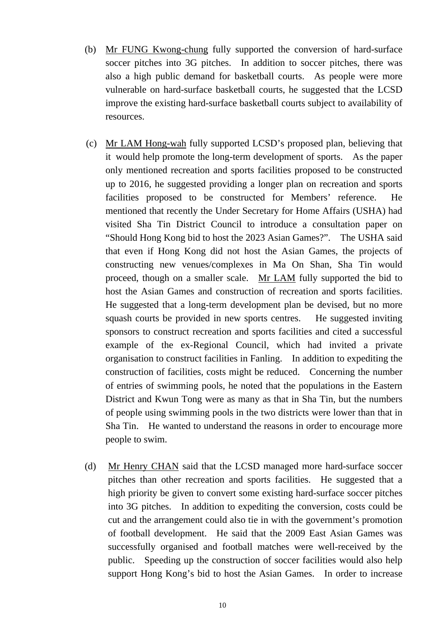- (b) Mr FUNG Kwong-chung fully supported the conversion of hard-surface soccer pitches into 3G pitches. In addition to soccer pitches, there was also a high public demand for basketball courts. As people were more vulnerable on hard-surface basketball courts, he suggested that the LCSD improve the existing hard-surface basketball courts subject to availability of resources.
- (c) Mr LAM Hong-wah fully supported LCSD's proposed plan, believing that it would help promote the long-term development of sports. As the paper only mentioned recreation and sports facilities proposed to be constructed up to 2016, he suggested providing a longer plan on recreation and sports facilities proposed to be constructed for Members' reference. He mentioned that recently the Under Secretary for Home Affairs (USHA) had visited Sha Tin District Council to introduce a consultation paper on "Should Hong Kong bid to host the 2023 Asian Games?". The USHA said that even if Hong Kong did not host the Asian Games, the projects of constructing new venues/complexes in Ma On Shan, Sha Tin would proceed, though on a smaller scale. Mr LAM fully supported the bid to host the Asian Games and construction of recreation and sports facilities. He suggested that a long-term development plan be devised, but no more squash courts be provided in new sports centres. He suggested inviting sponsors to construct recreation and sports facilities and cited a successful example of the ex-Regional Council, which had invited a private organisation to construct facilities in Fanling. In addition to expediting the construction of facilities, costs might be reduced. Concerning the number of entries of swimming pools, he noted that the populations in the Eastern District and Kwun Tong were as many as that in Sha Tin, but the numbers of people using swimming pools in the two districts were lower than that in Sha Tin. He wanted to understand the reasons in order to encourage more people to swim.
- (d) Mr Henry CHAN said that the LCSD managed more hard-surface soccer pitches than other recreation and sports facilities. He suggested that a high priority be given to convert some existing hard-surface soccer pitches into 3G pitches. In addition to expediting the conversion, costs could be cut and the arrangement could also tie in with the government's promotion of football development. He said that the 2009 East Asian Games was successfully organised and football matches were well-received by the public. Speeding up the construction of soccer facilities would also help support Hong Kong's bid to host the Asian Games. In order to increase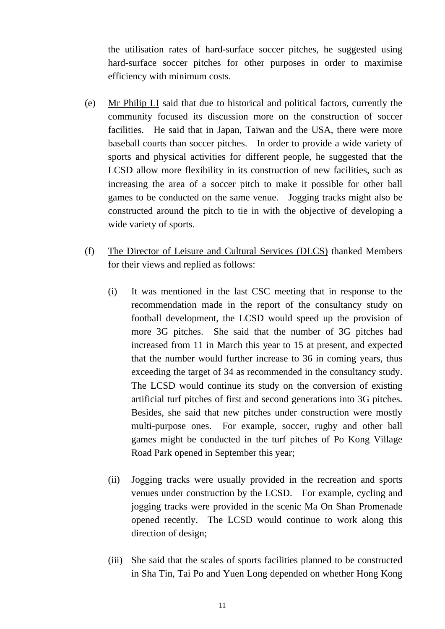the utilisation rates of hard-surface soccer pitches, he suggested using hard-surface soccer pitches for other purposes in order to maximise efficiency with minimum costs.

- (e) Mr Philip LI said that due to historical and political factors, currently the community focused its discussion more on the construction of soccer facilities. He said that in Japan, Taiwan and the USA, there were more baseball courts than soccer pitches. In order to provide a wide variety of sports and physical activities for different people, he suggested that the LCSD allow more flexibility in its construction of new facilities, such as increasing the area of a soccer pitch to make it possible for other ball games to be conducted on the same venue. Jogging tracks might also be constructed around the pitch to tie in with the objective of developing a wide variety of sports.
- (f) The Director of Leisure and Cultural Services (DLCS) thanked Members for their views and replied as follows:
	- (i) It was mentioned in the last CSC meeting that in response to the recommendation made in the report of the consultancy study on football development, the LCSD would speed up the provision of more 3G pitches. She said that the number of 3G pitches had increased from 11 in March this year to 15 at present, and expected that the number would further increase to 36 in coming years, thus exceeding the target of 34 as recommended in the consultancy study. The LCSD would continue its study on the conversion of existing artificial turf pitches of first and second generations into 3G pitches. Besides, she said that new pitches under construction were mostly multi-purpose ones. For example, soccer, rugby and other ball games might be conducted in the turf pitches of Po Kong Village Road Park opened in September this year;
	- (ii) Jogging tracks were usually provided in the recreation and sports venues under construction by the LCSD. For example, cycling and jogging tracks were provided in the scenic Ma On Shan Promenade opened recently. The LCSD would continue to work along this direction of design;
	- (iii) She said that the scales of sports facilities planned to be constructed in Sha Tin, Tai Po and Yuen Long depended on whether Hong Kong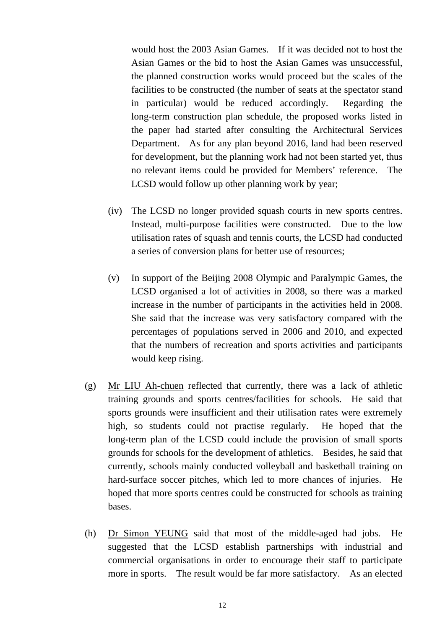would host the 2003 Asian Games. If it was decided not to host the Asian Games or the bid to host the Asian Games was unsuccessful, the planned construction works would proceed but the scales of the facilities to be constructed (the number of seats at the spectator stand in particular) would be reduced accordingly. Regarding the long-term construction plan schedule, the proposed works listed in the paper had started after consulting the Architectural Services Department. As for any plan beyond 2016, land had been reserved for development, but the planning work had not been started yet, thus no relevant items could be provided for Members' reference. The LCSD would follow up other planning work by year;

- (iv) The LCSD no longer provided squash courts in new sports centres. Instead, multi-purpose facilities were constructed. Due to the low utilisation rates of squash and tennis courts, the LCSD had conducted a series of conversion plans for better use of resources;
- (v) In support of the Beijing 2008 Olympic and Paralympic Games, the LCSD organised a lot of activities in 2008, so there was a marked increase in the number of participants in the activities held in 2008. She said that the increase was very satisfactory compared with the percentages of populations served in 2006 and 2010, and expected that the numbers of recreation and sports activities and participants would keep rising.
- (g) Mr LIU Ah-chuen reflected that currently, there was a lack of athletic training grounds and sports centres/facilities for schools. He said that sports grounds were insufficient and their utilisation rates were extremely high, so students could not practise regularly. He hoped that the long-term plan of the LCSD could include the provision of small sports grounds for schools for the development of athletics. Besides, he said that currently, schools mainly conducted volleyball and basketball training on hard-surface soccer pitches, which led to more chances of injuries. He hoped that more sports centres could be constructed for schools as training bases.
- (h) Dr Simon YEUNG said that most of the middle-aged had jobs. He suggested that the LCSD establish partnerships with industrial and commercial organisations in order to encourage their staff to participate more in sports. The result would be far more satisfactory. As an elected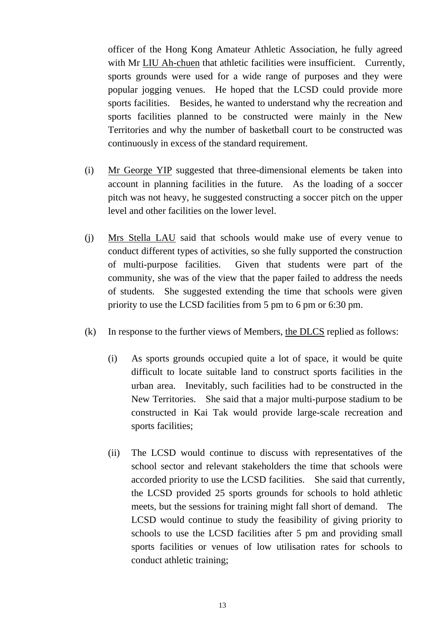officer of the Hong Kong Amateur Athletic Association, he fully agreed with Mr LIU Ah-chuen that athletic facilities were insufficient. Currently, sports grounds were used for a wide range of purposes and they were popular jogging venues. He hoped that the LCSD could provide more sports facilities. Besides, he wanted to understand why the recreation and sports facilities planned to be constructed were mainly in the New Territories and why the number of basketball court to be constructed was continuously in excess of the standard requirement.

- (i) Mr George YIP suggested that three-dimensional elements be taken into account in planning facilities in the future. As the loading of a soccer pitch was not heavy, he suggested constructing a soccer pitch on the upper level and other facilities on the lower level.
- (j) Mrs Stella LAU said that schools would make use of every venue to conduct different types of activities, so she fully supported the construction of multi-purpose facilities. Given that students were part of the community, she was of the view that the paper failed to address the needs of students. She suggested extending the time that schools were given priority to use the LCSD facilities from 5 pm to 6 pm or 6:30 pm.
- (k) In response to the further views of Members, the DLCS replied as follows:
	- (i) As sports grounds occupied quite a lot of space, it would be quite difficult to locate suitable land to construct sports facilities in the urban area. Inevitably, such facilities had to be constructed in the New Territories. She said that a major multi-purpose stadium to be constructed in Kai Tak would provide large-scale recreation and sports facilities;
	- (ii) The LCSD would continue to discuss with representatives of the school sector and relevant stakeholders the time that schools were accorded priority to use the LCSD facilities. She said that currently, the LCSD provided 25 sports grounds for schools to hold athletic meets, but the sessions for training might fall short of demand. The LCSD would continue to study the feasibility of giving priority to schools to use the LCSD facilities after 5 pm and providing small sports facilities or venues of low utilisation rates for schools to conduct athletic training;